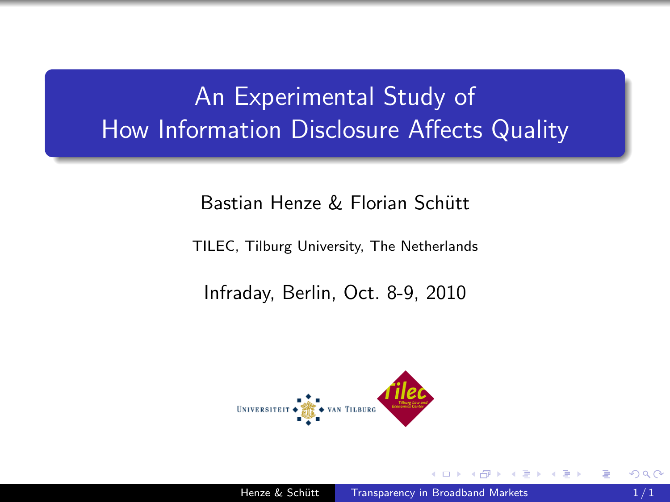# An Experimental Study of How Information Disclosure Affects Quality

#### Bastian Henze & Florian Schütt

TILEC, Tilburg University, The Netherlands

Infraday, Berlin, Oct. 8-9, 2010

<span id="page-0-0"></span>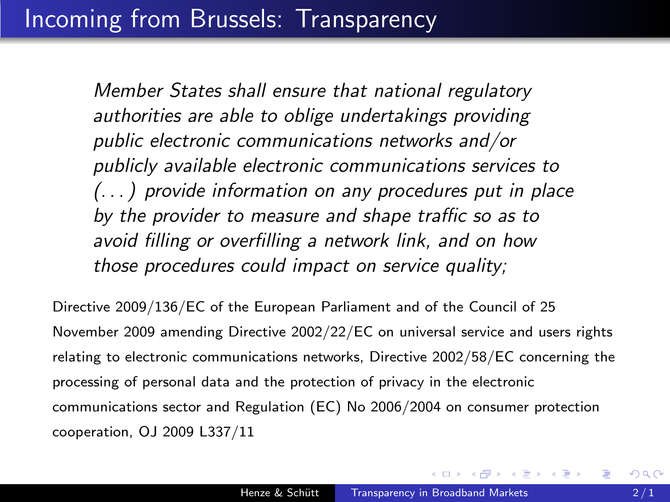# Incoming from Brussels: Transparency

Member States shall ensure that national regulatory authorities are able to oblige undertakings providing public electronic communications networks and/or publicly available electronic communications services to (. . . ) provide information on any procedures put in place by the provider to measure and shape traffic so as to avoid filling or overfilling a network link, and on how those procedures could impact on service quality;

Directive 2009/136/EC of the European Parliament and of the Council of 25 November 2009 amending Directive 2002/22/EC on universal service and users rights relating to electronic communications networks, Directive 2002/58/EC concerning the processing of personal data and the protection of privacy in the electronic communications sector and Regulation (EC) No 2006/2004 on consumer protection cooperation, OJ 2009 L337/11

∢ 何 ▶ ( ( 手 ) ( ( 手 ) ( )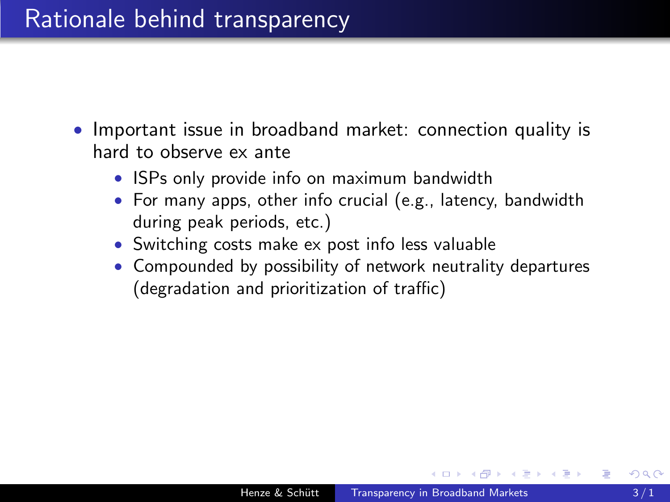### Rationale behind transparency

- Important issue in broadband market: connection quality is hard to observe ex ante
	- ISPs only provide info on maximum bandwidth
	- For many apps, other info crucial (e.g., latency, bandwidth during peak periods, etc.)
	- Switching costs make ex post info less valuable
	- Compounded by possibility of network neutrality departures (degradation and prioritization of traffic)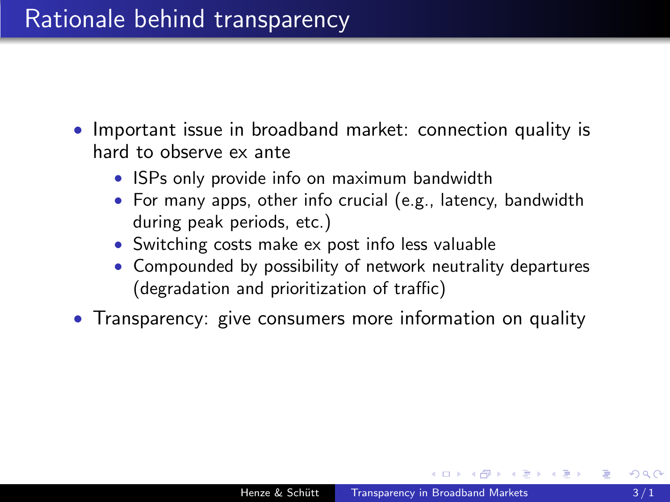### Rationale behind transparency

- Important issue in broadband market: connection quality is hard to observe ex ante
	- ISPs only provide info on maximum bandwidth
	- For many apps, other info crucial (e.g., latency, bandwidth during peak periods, etc.)
	- Switching costs make ex post info less valuable
	- Compounded by possibility of network neutrality departures (degradation and prioritization of traffic)
- Transparency: give consumers more information on quality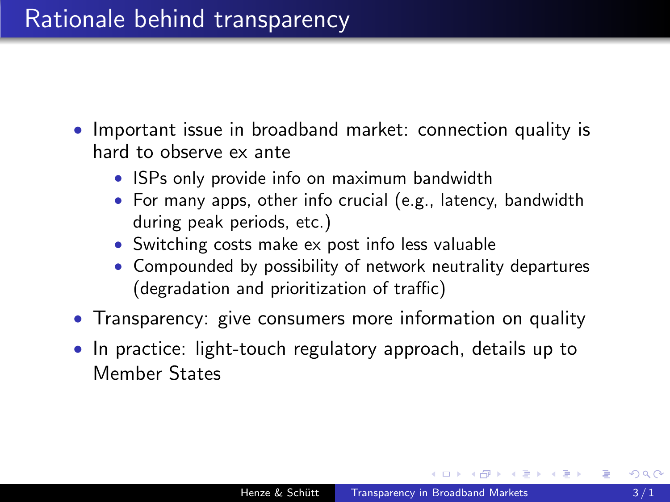## Rationale behind transparency

- Important issue in broadband market: connection quality is hard to observe ex ante
	- ISPs only provide info on maximum bandwidth
	- For many apps, other info crucial (e.g., latency, bandwidth during peak periods, etc.)
	- Switching costs make ex post info less valuable
	- Compounded by possibility of network neutrality departures (degradation and prioritization of traffic)
- Transparency: give consumers more information on quality
- In practice: light-touch regulatory approach, details up to Member States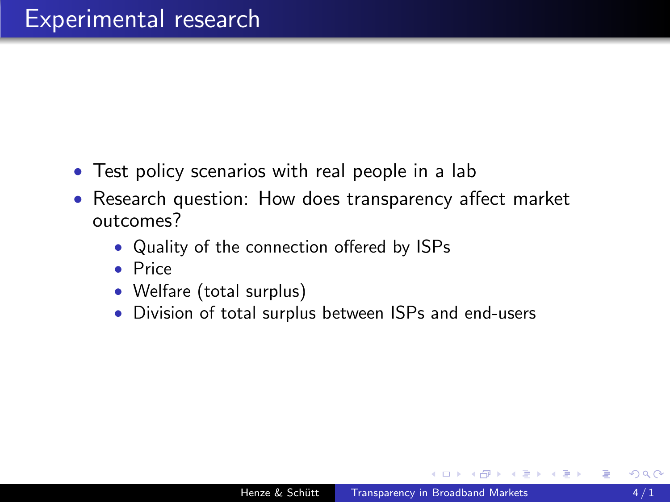- Test policy scenarios with real people in a lab
- Research question: How does transparency affect market outcomes?
	- Quality of the connection offered by ISPs
	- Price
	- Welfare (total surplus)
	- Division of total surplus between ISPs and end-users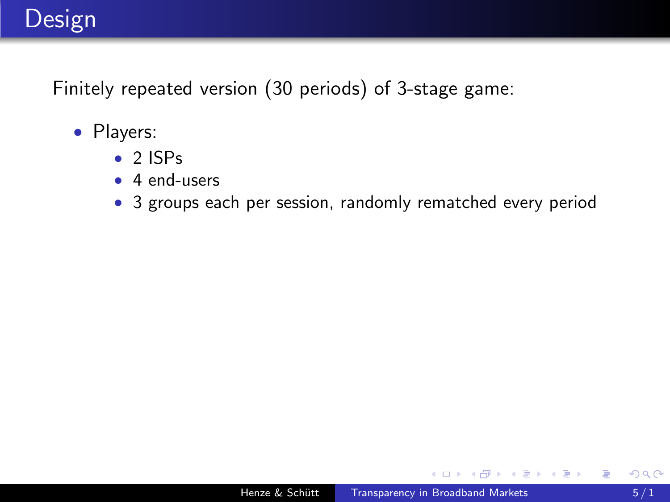# Design

Finitely repeated version (30 periods) of 3-stage game:

- Players:
	- 2 ISPs
	- 4 end-users
	- 3 groups each per session, randomly rematched every period

 $\leftarrow$ 

化重子 化重子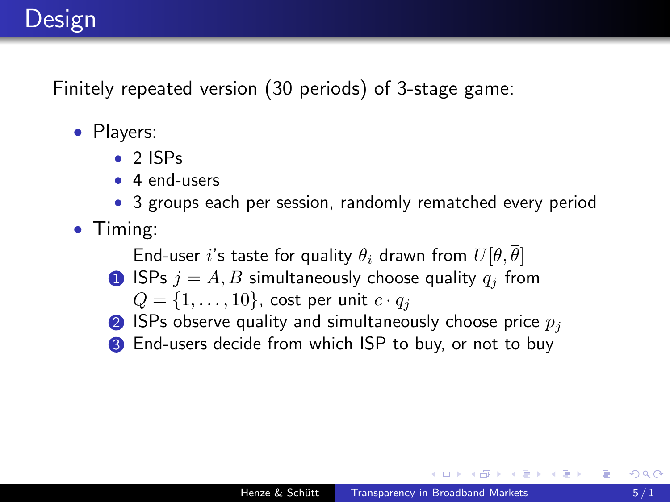# Design

Finitely repeated version (30 periods) of 3-stage game:

- Players:
	- $\bullet$  2 ISPs
	- 4 end-users
	- 3 groups each per session, randomly rematched every period
- Timing:

End-user i's taste for quality  $\theta_i$  drawn from  $U[\theta, \overline{\theta}]$ 

- **1** ISPs  $j = A, B$  simultaneously choose quality  $q_j$  from
	- $Q = \{1, \ldots, 10\}$ , cost per unit  $c \cdot q_i$
- **2** ISPs observe quality and simultaneously choose price  $p_i$
- <sup>3</sup> End-users decide from which ISP to buy, or not to buy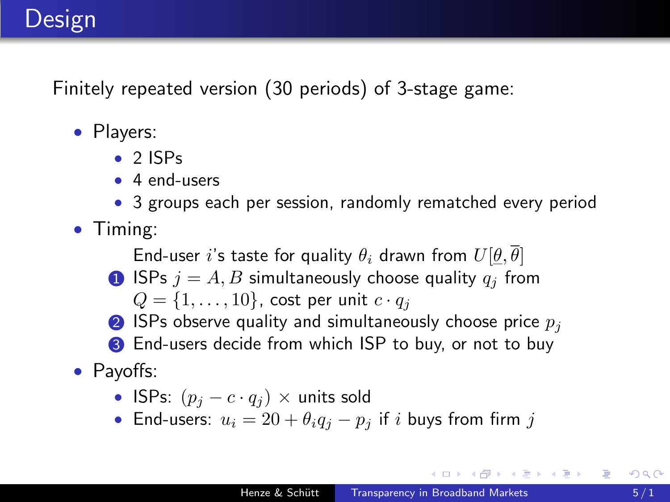# Design

Finitely repeated version (30 periods) of 3-stage game:

- Players:
	- $\bullet$  2 ISPs
	- 4 end-users
	- 3 groups each per session, randomly rematched every period
- Timing:

End-user i's taste for quality  $\theta_i$  drawn from  $U[\theta, \overline{\theta}]$ 

**1** ISPs  $j = A, B$  simultaneously choose quality  $q_j$  from

 $Q = \{1, \ldots, 10\}$ , cost per unit  $c \cdot q_i$ 

- **2** ISPs observe quality and simultaneously choose price  $p_i$
- <sup>3</sup> End-users decide from which ISP to buy, or not to buy
- Payoffs:
	- ISPs:  $(p_i c \cdot q_i) \times$  units sold
	- End-users:  $u_i = 20 + \theta_i q_i p_i$  if i buys from firm j

イ伊 メ ミ メ イヨ メー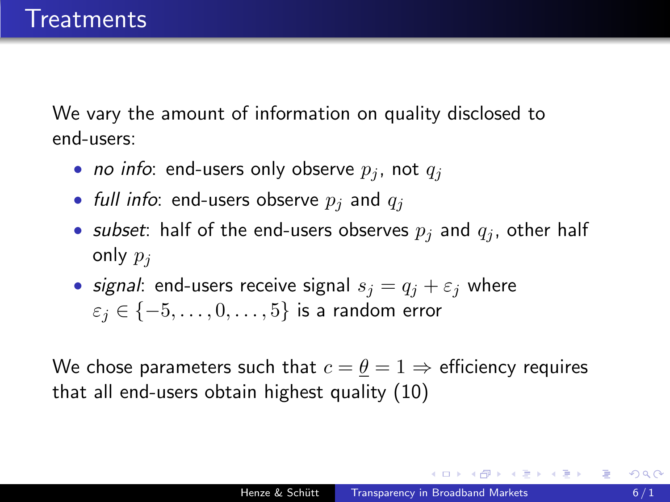We vary the amount of information on quality disclosed to end-users:

- *no info*: end-users only observe  $p_i$ , not  $q_i$
- full info: end-users observe  $p_i$  and  $q_i$
- subset: half of the end-users observes  $p_i$  and  $q_i$ , other half only  $p_i$
- signal: end-users receive signal  $s_i = q_i + \varepsilon_i$  where  $\varepsilon_j \in \{-5, \ldots, 0, \ldots, 5\}$  is a random error

We chose parameters such that  $c = \theta = 1 \Rightarrow$  efficiency requires that all end-users obtain highest quality (10)

伊 ▶ イヨ ▶ イヨ ▶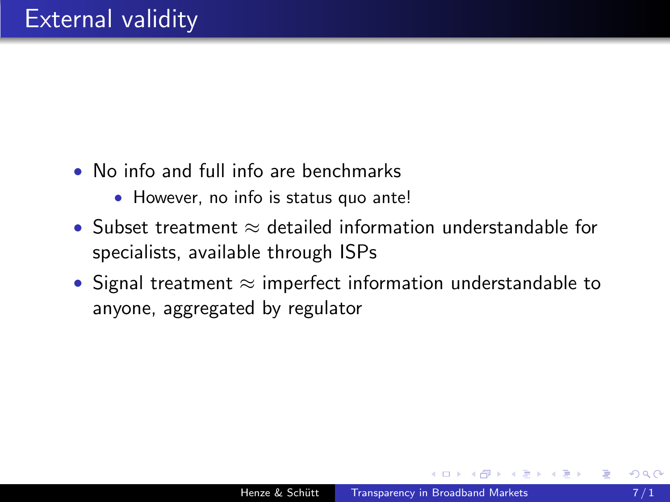- No info and full info are benchmarks
	- However, no info is status quo ante!
- Subset treatment  $\approx$  detailed information understandable for specialists, available through ISPs
- Signal treatment  $\approx$  imperfect information understandable to anyone, aggregated by regulator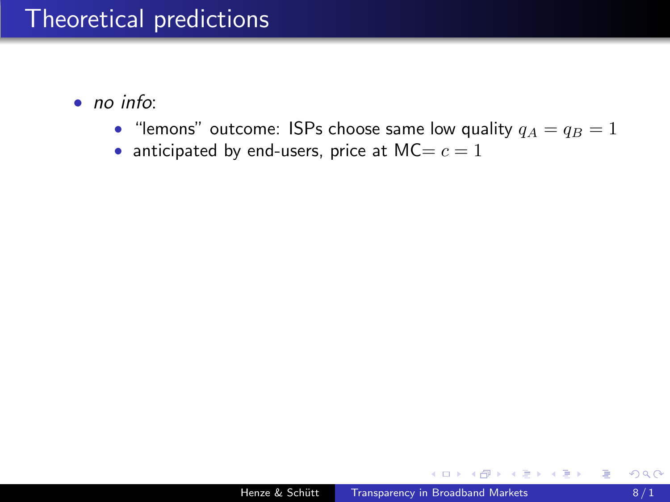# Theoretical predictions

- no info:
	- "lemons" outcome: ISPs choose same low quality  $q_A = q_B = 1$
	- anticipated by end-users, price at  $MC = c = 1$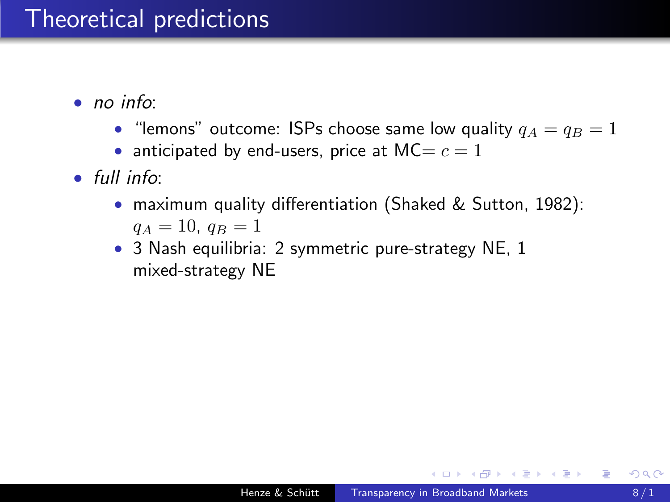# Theoretical predictions

- no info:
	- "lemons" outcome: ISPs choose same low quality  $q_A = q_B = 1$
	- anticipated by end-users, price at  $MC = c = 1$
- full info:
	- maximum quality differentiation (Shaked & Sutton, 1982):  $q_A = 10, q_B = 1$
	- 3 Nash equilibria: 2 symmetric pure-strategy NE, 1 mixed-strategy NE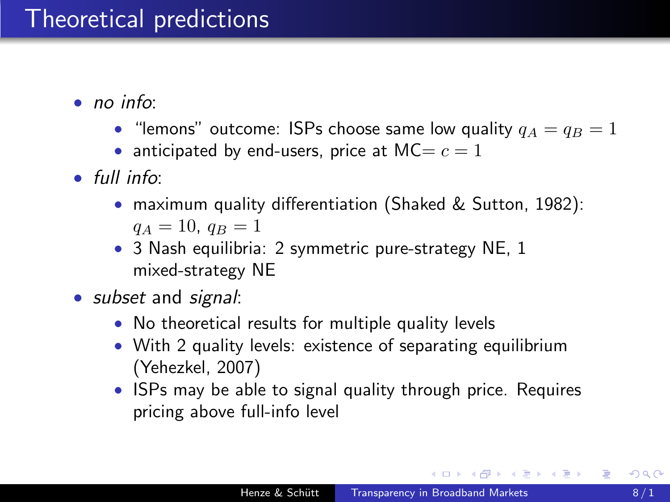# Theoretical predictions

- no info:
	- "lemons" outcome: ISPs choose same low quality  $q_A = q_B = 1$
	- anticipated by end-users, price at  $MC = c = 1$
- full info:
	- maximum quality differentiation (Shaked & Sutton, 1982):  $q_A = 10, q_B = 1$
	- 3 Nash equilibria: 2 symmetric pure-strategy NE, 1 mixed-strategy NE
- *subset* and *signal*:
	- No theoretical results for multiple quality levels
	- With 2 quality levels: existence of separating equilibrium (Yehezkel, 2007)
	- ISPs may be able to signal quality through price. Requires pricing above full-info level

∢何 ▶ ∢ ヨ ▶ ∢ ヨ ▶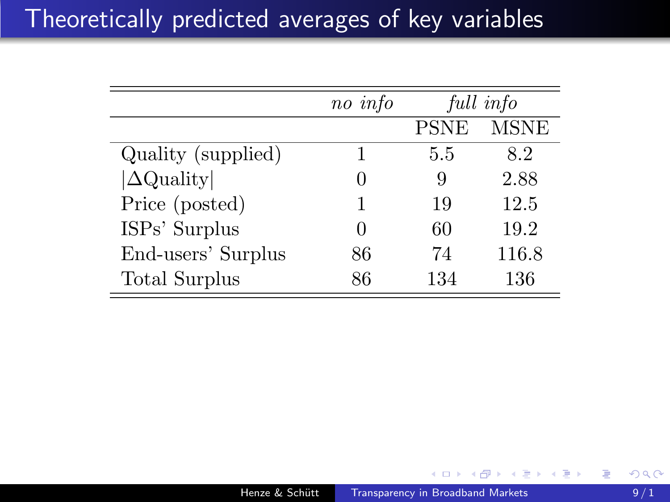# Theoretically predicted averages of key variables

|                      | no info |             | full info   |
|----------------------|---------|-------------|-------------|
|                      |         | <b>PSNE</b> | <b>MSNE</b> |
| Quality (supplied)   |         | 5.5         | 8.2         |
| $ \Delta$ Quality    |         | 9           | 2.88        |
| Price (posted)       |         | 19          | 12.5        |
| ISPs' Surplus        |         | 60          | 19.2        |
| End-users' Surplus   | 86      | 74          | 116.8       |
| <b>Total Surplus</b> | 86      | 134         | 136         |

任

重  $\sim$ ∍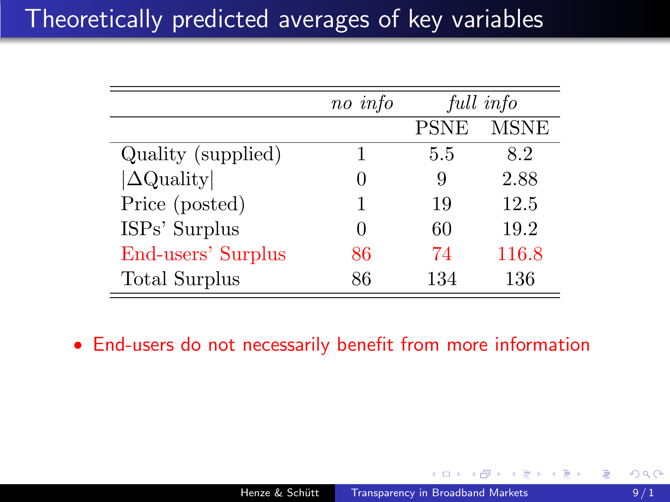# Theoretically predicted averages of key variables

|                    | no info |             | full info   |
|--------------------|---------|-------------|-------------|
|                    |         | <b>PSNE</b> | <b>MSNE</b> |
| Quality (supplied) |         | 5.5         | 8.2         |
| $ \Delta$ Quality  |         | 9           | 2.88        |
| Price (posted)     |         | 19          | 12.5        |
| ISPs' Surplus      |         | 60          | 19.2        |
| End-users' Surplus | 86      | 74          | 116.8       |
| Total Surplus      | 86      | 134         | 136         |

• End-users do not necessarily benefit from more information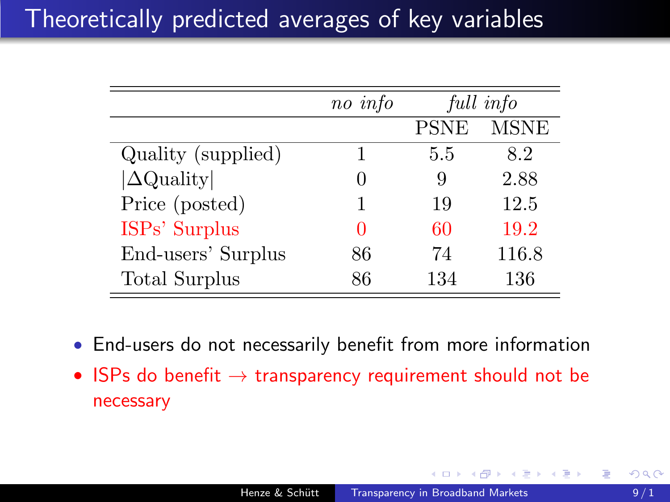|                    | no info |             | full info   |
|--------------------|---------|-------------|-------------|
|                    |         | <b>PSNE</b> | <b>MSNE</b> |
| Quality (supplied) |         | 5.5         | 8.2         |
| $ \Delta$ Quality  |         | 9           | 2.88        |
| Price (posted)     |         | 19          | 12.5        |
| ISPs' Surplus      |         | 60          | 19.2        |
| End-users' Surplus | 86      | 74          | 116.8       |
| Total Surplus      | 86      | 134         | 136         |

- End-users do not necessarily benefit from more information
- ISPs do benefit  $\rightarrow$  transparency requirement should not be necessary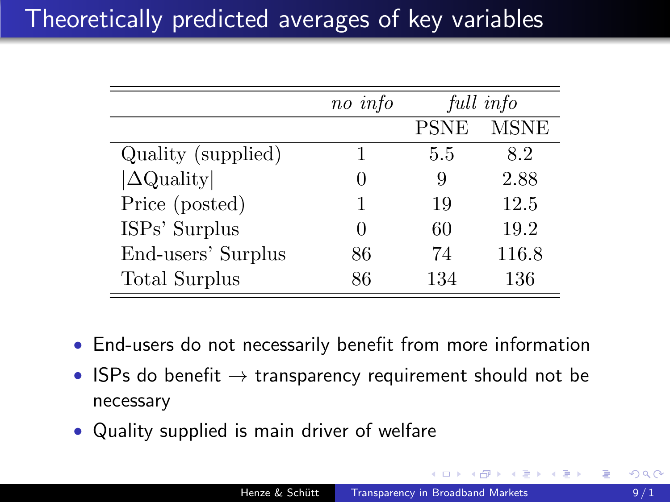|                      | no info |             | full info   |
|----------------------|---------|-------------|-------------|
|                      |         | <b>PSNE</b> | <b>MSNE</b> |
| Quality (supplied)   |         | 5.5         | 8.2         |
| $ \Delta$ Quality    |         | 9           | 2.88        |
| Price (posted)       |         | 19          | 12.5        |
| ISPs' Surplus        |         | 60          | 19.2        |
| End-users' Surplus   | 86      | 74          | 116.8       |
| <b>Total Surplus</b> | 86      | 134         | 136         |

- End-users do not necessarily benefit from more information
- ISPs do benefit  $\rightarrow$  transparency requirement should not be necessary
- <span id="page-17-0"></span>• Quality supplied is main driver of welfare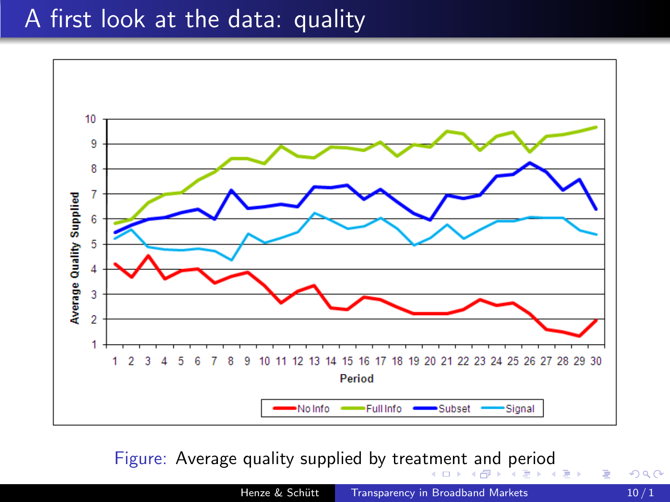# A first look at the data: quality



Figure: Average quality supplied by trea[tm](#page-17-0)e[nt and period](#page-0-0)

 $\equiv$ 

**B** 

Þ

<span id="page-18-0"></span> $2Q$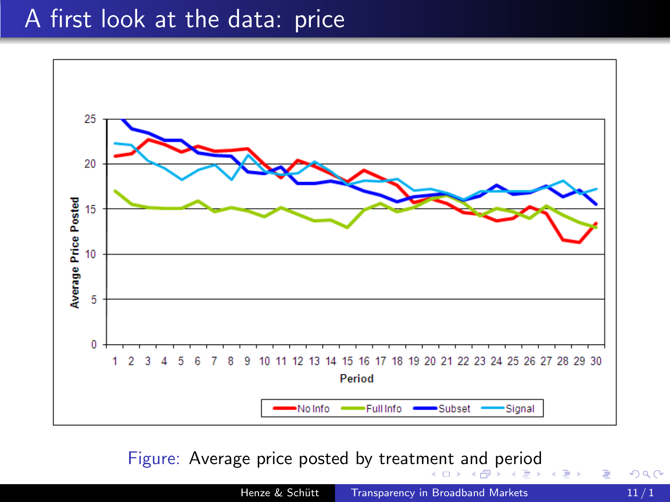#### A first look at the data: price



Figure: Average price posted by treat[men](#page-18-0)[t and period](#page-0-0)  $\sim$ 

 $2Q$ 

э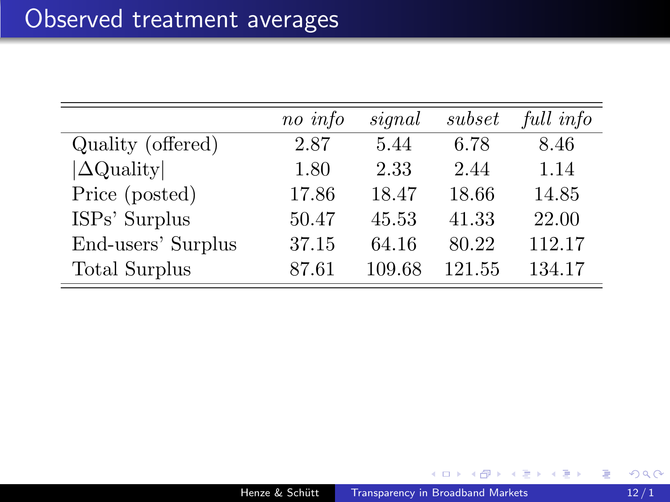|                      | no info | signal | subset | full info |
|----------------------|---------|--------|--------|-----------|
| Quality (offered)    | 2.87    | 5.44   | 6.78   | 8.46      |
| $ \Delta$ Quality    | 1.80    | 2.33   | 2.44   | 1.14      |
| Price (posted)       | 17.86   | 18.47  | 18.66  | 14.85     |
| ISPs' Surplus        | 50.47   | 45.53  | 41.33  | 22.00     |
| End-users' Surplus   | 37.15   | 64.16  | 80.22  | 112.17    |
| <b>Total Surplus</b> | 87.61   | 109.68 | 121.55 | 134.17    |

 $\Box$ 

a.

Ε

э

Ξ

a  $\sim$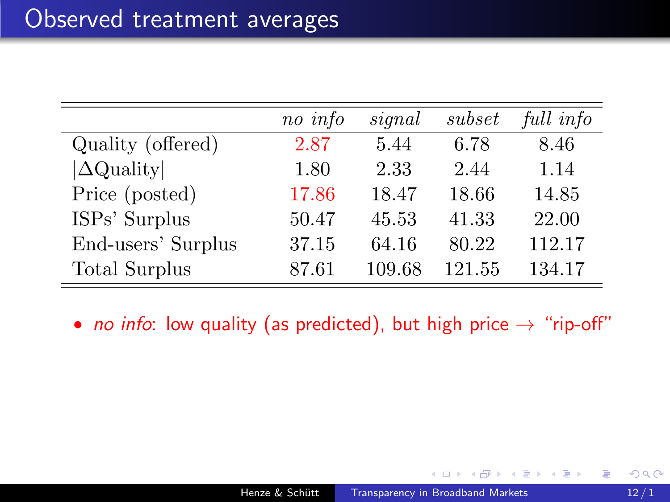|                      | no info | signal | subset | full info |
|----------------------|---------|--------|--------|-----------|
| Quality (offered)    | 2.87    | 5.44   | 6.78   | 8.46      |
| $ \Delta$ Quality    | 1.80    | 2.33   | 2.44   | 1.14      |
| Price (posted)       | 17.86   | 18.47  | 18.66  | 14.85     |
| ISPs' Surplus        | 50.47   | 45.53  | 41.33  | 22.00     |
| End-users' Surplus   | 37.15   | 64.16  | 80.22  | 112.17    |
| <b>Total Surplus</b> | 87.61   | 109.68 | 121.55 | 134.17    |

• no info: low quality (as predicted), but high price  $\rightarrow$  "rip-off"

重

→ 重 → → 重 → →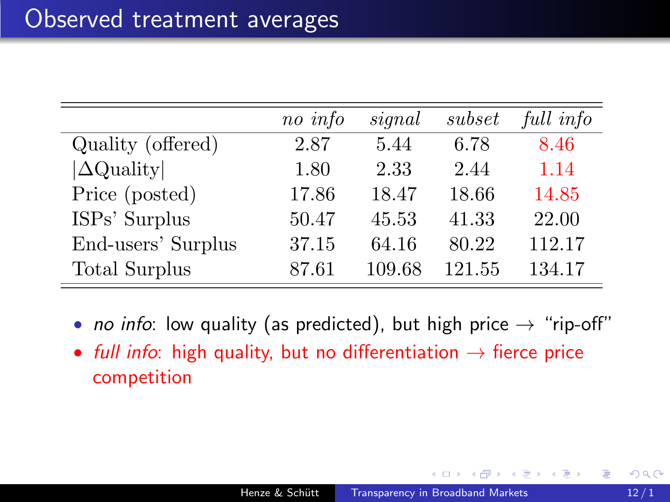|                      | no info | signal | subset | full info |
|----------------------|---------|--------|--------|-----------|
| Quality (offered)    | 2.87    | 5.44   | 6.78   | 8.46      |
| $ \Delta$ Quality    | 1.80    | 2.33   | 2.44   | 1.14      |
| Price (posted)       | 17.86   | 18.47  | 18.66  | 14.85     |
| ISPs' Surplus        | 50.47   | 45.53  | 41.33  | 22.00     |
| End-users' Surplus   | 37.15   | 64.16  | 80.22  | 112.17    |
| <b>Total Surplus</b> | 87.61   | 109.68 | 121.55 | 134.17    |

- no info: low quality (as predicted), but high price  $\rightarrow$  "rip-off"
- full info: high quality, but no differentiation  $\rightarrow$  fierce price competition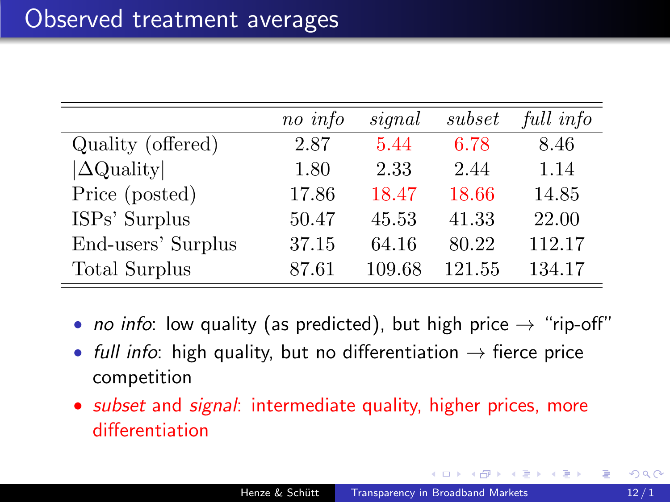|                      | no info | signal | subset | full info |
|----------------------|---------|--------|--------|-----------|
| Quality (offered)    | 2.87    | 5.44   | 6.78   | 8.46      |
| $ \Delta$ Quality    | 1.80    | 2.33   | 2.44   | 1.14      |
| Price (posted)       | 17.86   | 18.47  | 18.66  | 14.85     |
| ISPs' Surplus        | 50.47   | 45.53  | 41.33  | 22.00     |
| End-users' Surplus   | 37.15   | 64.16  | 80.22  | 112.17    |
| <b>Total Surplus</b> | 87.61   | 109.68 | 121.55 | 134.17    |

- no info: low quality (as predicted), but high price  $\rightarrow$  "rip-off"
- full info: high quality, but no differentiation  $\rightarrow$  fierce price competition
- <span id="page-23-0"></span>• *subset* and *signal*: intermediate quality, higher prices, more differentiation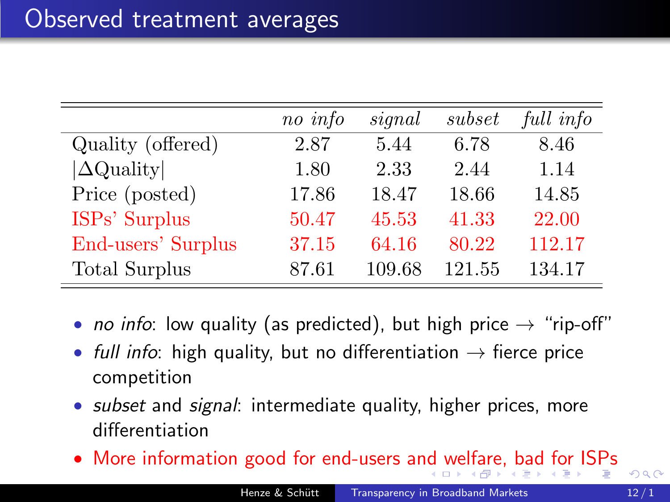|                      | no info | signal | subset | full info |
|----------------------|---------|--------|--------|-----------|
| Quality (offered)    | 2.87    | 5.44   | 6.78   | 8.46      |
| $ \Delta$ Quality    | 1.80    | 2.33   | 2.44   | 1.14      |
| Price (posted)       | 17.86   | 18.47  | 18.66  | 14.85     |
| ISPs' Surplus        | 50.47   | 45.53  | 41.33  | 22.00     |
| End-users' Surplus   | 37.15   | 64.16  | 80.22  | 112.17    |
| <b>Total Surplus</b> | 87.61   | 109.68 | 121.55 | 134.17    |

- no info: low quality (as predicted), but high price  $\rightarrow$  "rip-off"
- full info: high quality, but no differentiation  $\rightarrow$  fierce price competition
- *subset* and *signal*: intermediate quality, higher prices, more differentiation
- More information good for end-users a[nd](#page-23-0) [welfare, bad for ISPs](#page-0-0)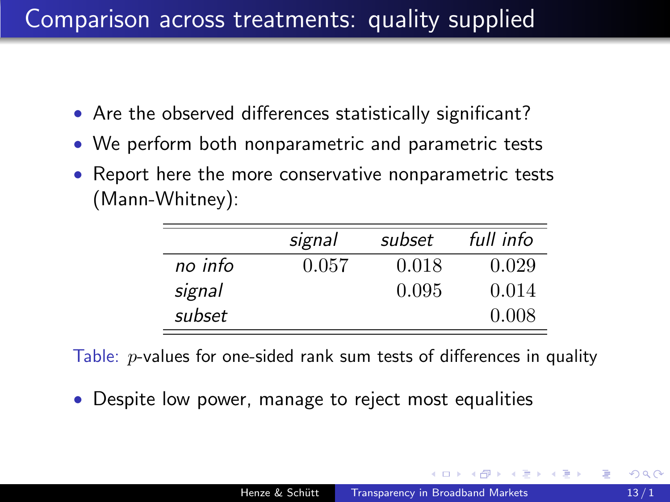# Comparison across treatments: quality supplied

- Are the observed differences statistically significant?
- We perform both nonparametric and parametric tests
- Report here the more conservative nonparametric tests (Mann-Whitney):

|         | signal | subset | full info |
|---------|--------|--------|-----------|
| no info | 0.057  | 0.018  | 0.029     |
| signal  |        | 0.095  | 0.014     |
| subset  |        |        | 0.008     |

Table:  $p$ -values for one-sided rank sum tests of differences in quality

• Despite low power, manage to reject most equalities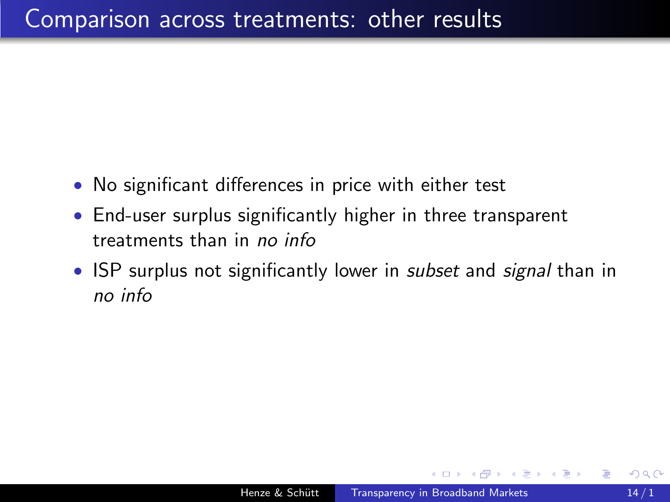- No significant differences in price with either test
- End-user surplus significantly higher in three transparent treatments than in no info
- ISP surplus not significantly lower in *subset* and *signal* than in no info

つくい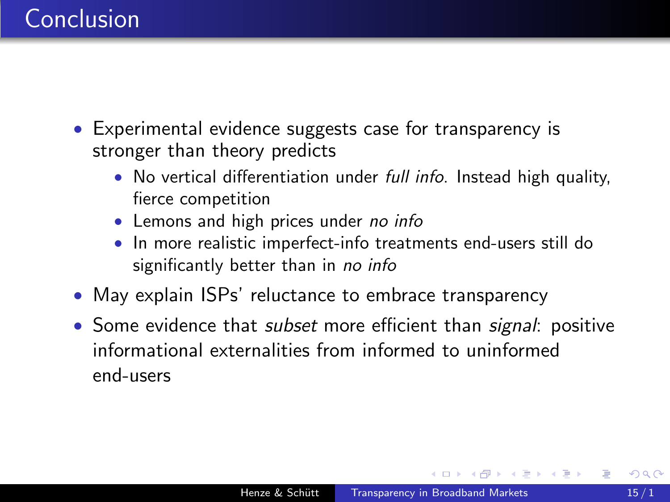- Experimental evidence suggests case for transparency is stronger than theory predicts
	- No vertical differentiation under *full info*. Instead high quality, fierce competition
	- Lemons and high prices under no info
	- In more realistic imperfect-info treatments end-users still do significantly better than in no info
- May explain ISPs' reluctance to embrace transparency
- Some evidence that *subset* more efficient than *signal*: positive informational externalities from informed to uninformed end-users

 $200$